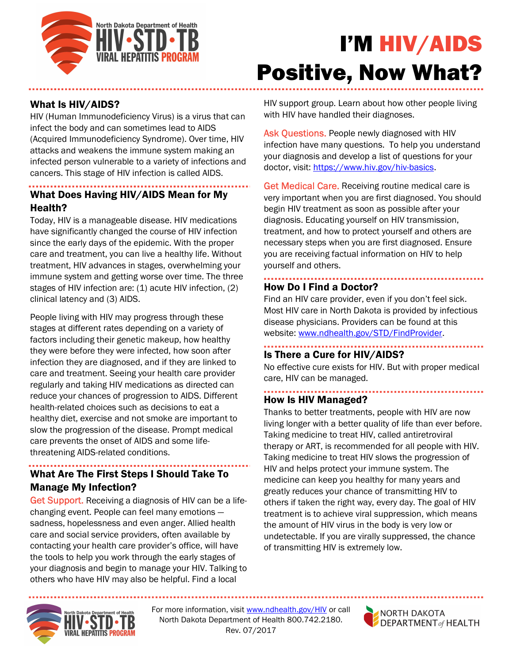

# I'M HIV/AIDS Positive, Now What?

## What Is HIV/AIDS?

HIV (Human Immunodeficiency Virus) is a virus that can infect the body and can sometimes lead to AIDS (Acquired Immunodeficiency Syndrome). Over time, HIV attacks and weakens the immune system making an infected person vulnerable to a variety of infections and cancers. This stage of HIV infection is called AIDS.

# What Does Having HIV/AIDS Mean for My Health?

Today, HIV is a manageable disease. HIV medications have significantly changed the course of HIV infection since the early days of the epidemic. With the proper care and treatment, you can live a healthy life. Without treatment, HIV advances in stages, overwhelming your immune system and getting worse over time. The three stages of HIV infection are: (1) acute HIV infection, (2) clinical latency and (3) AIDS.

People living with HIV may progress through these stages at different rates depending on a variety of factors including their genetic makeup, how healthy they were before they were infected, how soon after infection they are diagnosed, and if they are linked to care and treatment. Seeing your health care provider regularly and taking HIV medications as directed can reduce your chances of progression to AIDS. Different health-related choices such as decisions to eat a healthy diet, exercise and not smoke are important to slow the progression of the disease. Prompt medical care prevents the onset of AIDS and some lifethreatening AIDS-related conditions.

#### What Are The First Steps I Should Take To Manage My Infection?

Get Support. Receiving a diagnosis of HIV can be a lifechanging event. People can feel many emotions sadness, hopelessness and even anger. Allied health care and social service providers, often available by contacting your health care provider's office, will have the tools to help you work through the early stages of your diagnosis and begin to manage your HIV. Talking to others who have HIV may also be helpful. Find a local

HIV support group. Learn about how other people living with HIV have handled their diagnoses.

Ask Questions. People newly diagnosed with HIV infection have many questions. To help you understand your diagnosis and develop a list of questions for your doctor, visit: https://www.hiv.gov/hiv-basics.

Get Medical Care. Receiving routine medical care is very important when you are first diagnosed. You should begin HIV treatment as soon as possible after your diagnosis. Educating yourself on HIV transmission, treatment, and how to protect yourself and others are necessary steps when you are first diagnosed. Ensure you are receiving factual information on HIV to help yourself and others.

### How Do I Find a Doctor?

Find an HIV care provider, even if you don't feel sick. Most HIV care in North Dakota is provided by infectious disease physicians. Providers can be found at this website: www.ndhealth.gov/STD/FindProvider.

## Is There a Cure for HIV/AIDS?

No effective cure exists for HIV. But with proper medical care, HIV can be managed.

## How Is HIV Managed?

Thanks to better treatments, people with HIV are now living longer with a better quality of life than ever before. Taking medicine to treat HIV, called antiretroviral therapy or ART, is recommended for all people with HIV. Taking medicine to treat HIV slows the progression of HIV and helps protect your immune system. The medicine can keep you healthy for many years and greatly reduces your chance of transmitting HIV to others if taken the right way, every day. The goal of HIV treatment is to achieve viral suppression, which means the amount of HIV virus in the body is very low or undetectable. If you are virally suppressed, the chance of transmitting HIV is extremely low.



For more information, visit www.ndhealth.gov/HIV or call North Dakota Department of Health 800.742.2180. Rev. 07/2017

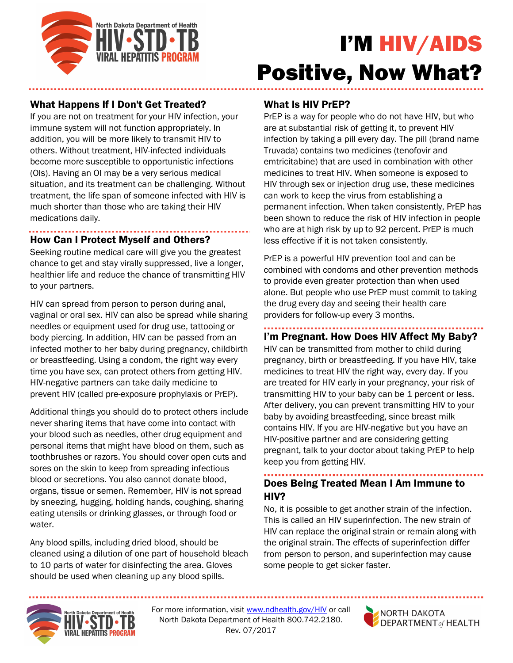

# I'M HIV/AIDS Positive, Now What?

## What Happens If I Don't Get Treated?

If you are not on treatment for your HIV infection, your immune system will not function appropriately. In addition, you will be more likely to transmit HIV to others. Without treatment, HIV-infected individuals become more susceptible to opportunistic infections (OIs). Having an OI may be a very serious medical situation, and its treatment can be challenging. Without treatment, the life span of someone infected with HIV is much shorter than those who are taking their HIV medications daily.

## How Can I Protect Myself and Others?

Seeking routine medical care will give you the greatest chance to get and stay virally suppressed, live a longer, healthier life and reduce the chance of transmitting HIV to your partners.

HIV can spread from person to person during anal, vaginal or oral sex. HIV can also be spread while sharing needles or equipment used for drug use, tattooing or body piercing. In addition, HIV can be passed from an infected mother to her baby during pregnancy, childbirth or breastfeeding. Using a condom, the right way every time you have sex, can protect others from getting HIV. HIV-negative partners can take daily medicine to prevent HIV (called pre-exposure prophylaxis or PrEP).

Additional things you should do to protect others include never sharing items that have come into contact with your blood such as needles, other drug equipment and personal items that might have blood on them, such as toothbrushes or razors. You should cover open cuts and sores on the skin to keep from spreading infectious blood or secretions. You also cannot donate blood, organs, tissue or semen. Remember, HIV is not spread by sneezing, hugging, holding hands, coughing, sharing eating utensils or drinking glasses, or through food or water.

Any blood spills, including dried blood, should be cleaned using a dilution of one part of household bleach to 10 parts of water for disinfecting the area. Gloves should be used when cleaning up any blood spills.

### What Is HIV PrEP?

PrEP is a way for people who do not have HIV, but who are at substantial risk of getting it, to prevent HIV infection by taking a pill every day. The pill (brand name Truvada) contains two medicines (tenofovir and emtricitabine) that are used in combination with other medicines to treat HIV. When someone is exposed to HIV through sex or injection drug use, these medicines can work to keep the virus from establishing a permanent infection. When taken consistently, PrEP has been shown to reduce the risk of HIV infection in people who are at high risk by up to 92 percent. PrEP is much less effective if it is not taken consistently.

PrEP is a powerful HIV prevention tool and can be combined with condoms and other prevention methods to provide even greater protection than when used alone. But people who use PrEP must commit to taking the drug every day and seeing their health care providers for follow-up every 3 months.

## I'm Pregnant. How Does HIV Affect My Baby?

HIV can be transmitted from mother to child during pregnancy, birth or breastfeeding. If you have HIV, take medicines to treat HIV the right way, every day. If you are treated for HIV early in your pregnancy, your risk of transmitting HIV to your baby can be 1 percent or less. After delivery, you can prevent transmitting HIV to your baby by avoiding breastfeeding, since breast milk contains HIV. If you are HIV-negative but you have an HIV-positive partner and are considering getting pregnant, talk to your doctor about taking PrEP to help keep you from getting HIV.

# Does Being Treated Mean I Am Immune to HIV?

No, it is possible to get another strain of the infection. This is called an HIV superinfection. The new strain of HIV can replace the original strain or remain along with the original strain. The effects of superinfection differ from person to person, and superinfection may cause some people to get sicker faster.



For more information, visit www.ndhealth.gov/HIV or call North Dakota Department of Health 800.742.2180. Rev. 07/2017